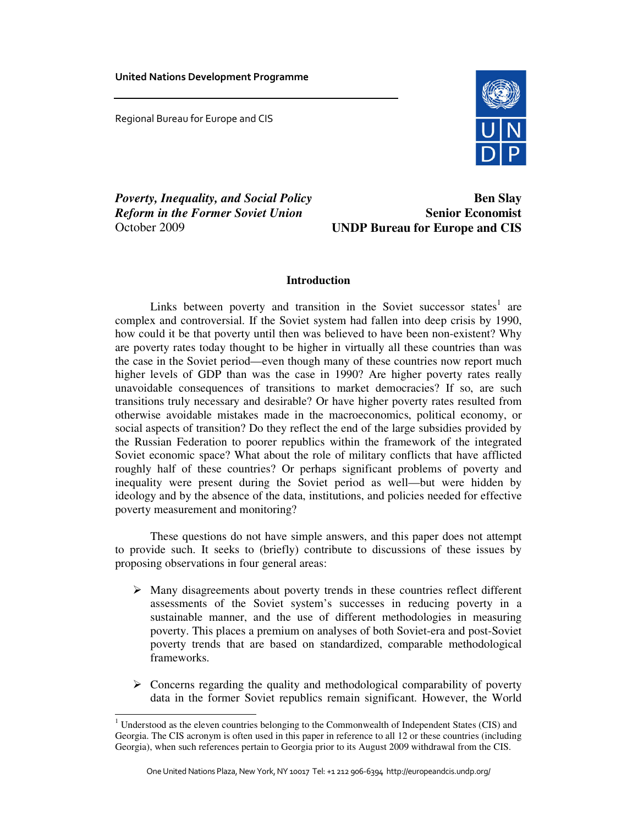United Nations Development Programme

Regional Bureau for Europe and CIS

<u>.</u>



*Poverty, Inequality, and Social Policy Reform in the Former Soviet Union*  October 2009

**Ben Slay Senior Economist UNDP Bureau for Europe and CIS**

# **Introduction**

Links between poverty and transition in the Soviet successor states<sup>1</sup> are complex and controversial. If the Soviet system had fallen into deep crisis by 1990, how could it be that poverty until then was believed to have been non-existent? Why are poverty rates today thought to be higher in virtually all these countries than was the case in the Soviet period—even though many of these countries now report much higher levels of GDP than was the case in 1990? Are higher poverty rates really unavoidable consequences of transitions to market democracies? If so, are such transitions truly necessary and desirable? Or have higher poverty rates resulted from otherwise avoidable mistakes made in the macroeconomics, political economy, or social aspects of transition? Do they reflect the end of the large subsidies provided by the Russian Federation to poorer republics within the framework of the integrated Soviet economic space? What about the role of military conflicts that have afflicted roughly half of these countries? Or perhaps significant problems of poverty and inequality were present during the Soviet period as well—but were hidden by ideology and by the absence of the data, institutions, and policies needed for effective poverty measurement and monitoring?

These questions do not have simple answers, and this paper does not attempt to provide such. It seeks to (briefly) contribute to discussions of these issues by proposing observations in four general areas:

- $\triangleright$  Many disagreements about poverty trends in these countries reflect different assessments of the Soviet system's successes in reducing poverty in a sustainable manner, and the use of different methodologies in measuring poverty. This places a premium on analyses of both Soviet-era and post-Soviet poverty trends that are based on standardized, comparable methodological frameworks.
- $\triangleright$  Concerns regarding the quality and methodological comparability of poverty data in the former Soviet republics remain significant. However, the World

 $1$  Understood as the eleven countries belonging to the Commonwealth of Independent States (CIS) and Georgia. The CIS acronym is often used in this paper in reference to all 12 or these countries (including Georgia), when such references pertain to Georgia prior to its August 2009 withdrawal from the CIS.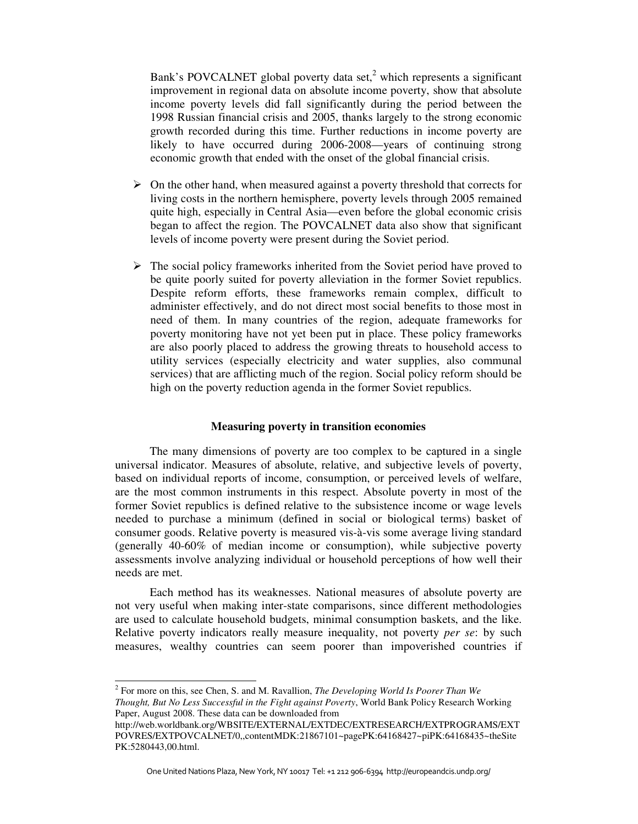Bank's POVCALNET global poverty data set,<sup>2</sup> which represents a significant improvement in regional data on absolute income poverty, show that absolute income poverty levels did fall significantly during the period between the 1998 Russian financial crisis and 2005, thanks largely to the strong economic growth recorded during this time. Further reductions in income poverty are likely to have occurred during 2006-2008—years of continuing strong economic growth that ended with the onset of the global financial crisis.

- $\triangleright$  On the other hand, when measured against a poverty threshold that corrects for living costs in the northern hemisphere, poverty levels through 2005 remained quite high, especially in Central Asia—even before the global economic crisis began to affect the region. The POVCALNET data also show that significant levels of income poverty were present during the Soviet period.
- $\triangleright$  The social policy frameworks inherited from the Soviet period have proved to be quite poorly suited for poverty alleviation in the former Soviet republics. Despite reform efforts, these frameworks remain complex, difficult to administer effectively, and do not direct most social benefits to those most in need of them. In many countries of the region, adequate frameworks for poverty monitoring have not yet been put in place. These policy frameworks are also poorly placed to address the growing threats to household access to utility services (especially electricity and water supplies, also communal services) that are afflicting much of the region. Social policy reform should be high on the poverty reduction agenda in the former Soviet republics.

### **Measuring poverty in transition economies**

The many dimensions of poverty are too complex to be captured in a single universal indicator. Measures of absolute, relative, and subjective levels of poverty, based on individual reports of income, consumption, or perceived levels of welfare, are the most common instruments in this respect. Absolute poverty in most of the former Soviet republics is defined relative to the subsistence income or wage levels needed to purchase a minimum (defined in social or biological terms) basket of consumer goods. Relative poverty is measured vis-à-vis some average living standard (generally 40-60% of median income or consumption), while subjective poverty assessments involve analyzing individual or household perceptions of how well their needs are met.

Each method has its weaknesses. National measures of absolute poverty are not very useful when making inter-state comparisons, since different methodologies are used to calculate household budgets, minimal consumption baskets, and the like. Relative poverty indicators really measure inequality, not poverty *per se*: by such measures, wealthy countries can seem poorer than impoverished countries if

<sup>2</sup> For more on this, see Chen, S. and M. Ravallion, *The Developing World Is Poorer Than We Thought, But No Less Successful in the Fight against Poverty*, World Bank Policy Research Working Paper, August 2008. These data can be downloaded from

http://web.worldbank.org/WBSITE/EXTERNAL/EXTDEC/EXTRESEARCH/EXTPROGRAMS/EXT POVRES/EXTPOVCALNET/0,,contentMDK:21867101~pagePK:64168427~piPK:64168435~theSite PK:5280443,00.html.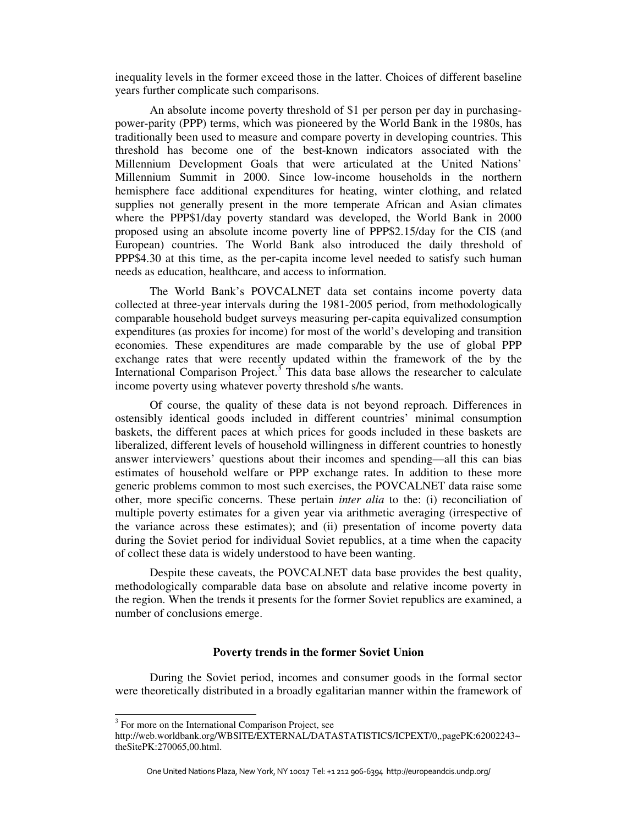inequality levels in the former exceed those in the latter. Choices of different baseline years further complicate such comparisons.

An absolute income poverty threshold of \$1 per person per day in purchasingpower-parity (PPP) terms, which was pioneered by the World Bank in the 1980s, has traditionally been used to measure and compare poverty in developing countries. This threshold has become one of the best-known indicators associated with the Millennium Development Goals that were articulated at the United Nations' Millennium Summit in 2000. Since low-income households in the northern hemisphere face additional expenditures for heating, winter clothing, and related supplies not generally present in the more temperate African and Asian climates where the PPP\$1/day poverty standard was developed, the World Bank in 2000 proposed using an absolute income poverty line of PPP\$2.15/day for the CIS (and European) countries. The World Bank also introduced the daily threshold of PPP\$4.30 at this time, as the per-capita income level needed to satisfy such human needs as education, healthcare, and access to information.

The World Bank's POVCALNET data set contains income poverty data collected at three-year intervals during the 1981-2005 period, from methodologically comparable household budget surveys measuring per-capita equivalized consumption expenditures (as proxies for income) for most of the world's developing and transition economies. These expenditures are made comparable by the use of global PPP exchange rates that were recently updated within the framework of the by the International Comparison Project.<sup>3</sup> This data base allows the researcher to calculate income poverty using whatever poverty threshold s/he wants.

Of course, the quality of these data is not beyond reproach. Differences in ostensibly identical goods included in different countries' minimal consumption baskets, the different paces at which prices for goods included in these baskets are liberalized, different levels of household willingness in different countries to honestly answer interviewers' questions about their incomes and spending—all this can bias estimates of household welfare or PPP exchange rates. In addition to these more generic problems common to most such exercises, the POVCALNET data raise some other, more specific concerns. These pertain *inter alia* to the: (i) reconciliation of multiple poverty estimates for a given year via arithmetic averaging (irrespective of the variance across these estimates); and (ii) presentation of income poverty data during the Soviet period for individual Soviet republics, at a time when the capacity of collect these data is widely understood to have been wanting.

Despite these caveats, the POVCALNET data base provides the best quality, methodologically comparable data base on absolute and relative income poverty in the region. When the trends it presents for the former Soviet republics are examined, a number of conclusions emerge.

# **Poverty trends in the former Soviet Union**

During the Soviet period, incomes and consumer goods in the formal sector were theoretically distributed in a broadly egalitarian manner within the framework of

<sup>&</sup>lt;sup>3</sup> For more on the International Comparison Project, see

http://web.worldbank.org/WBSITE/EXTERNAL/DATASTATISTICS/ICPEXT/0,,pagePK:62002243~ theSitePK:270065,00.html.

One United Nations Plaza, New York, NY 10017 Tel: +1 212 906-6394 http://europeandcis.undp.org/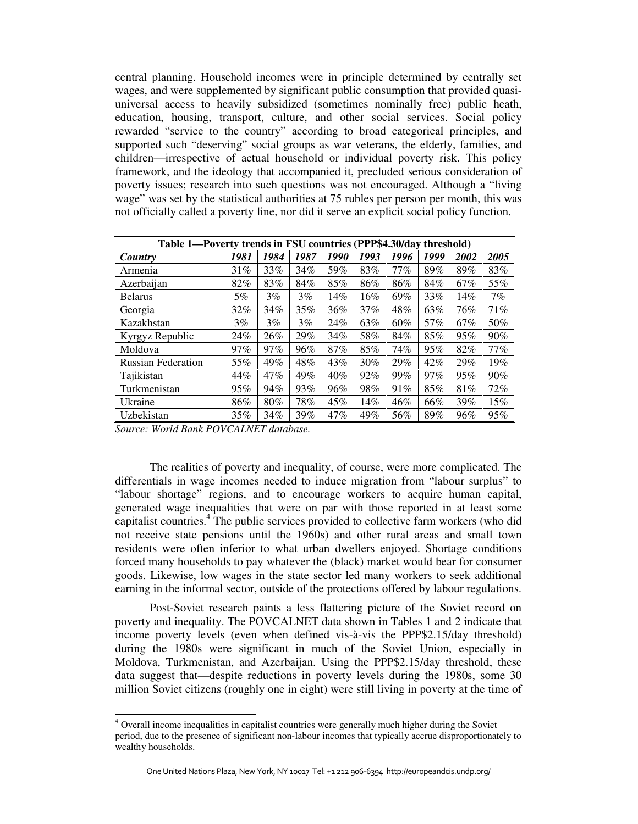central planning. Household incomes were in principle determined by centrally set wages, and were supplemented by significant public consumption that provided quasiuniversal access to heavily subsidized (sometimes nominally free) public heath, education, housing, transport, culture, and other social services. Social policy rewarded "service to the country" according to broad categorical principles, and supported such "deserving" social groups as war veterans, the elderly, families, and children—irrespective of actual household or individual poverty risk. This policy framework, and the ideology that accompanied it, precluded serious consideration of poverty issues; research into such questions was not encouraged. Although a "living wage" was set by the statistical authorities at 75 rubles per person per month, this was not officially called a poverty line, nor did it serve an explicit social policy function.

| Table 1—Poverty trends in FSU countries (PPP\$4.30/day threshold) |       |       |       |      |      |        |        |      |      |
|-------------------------------------------------------------------|-------|-------|-------|------|------|--------|--------|------|------|
| Country                                                           | 1981  | 1984  | 1987  | 1990 | 1993 | 1996   | 1999   | 2002 | 2005 |
| Armenia                                                           | 31%   | 33%   | 34%   | 59%  | 83%  | $77\%$ | 89%    | 89%  | 83%  |
| Azerbaijan                                                        | 82%   | 83%   | 84%   | 85%  | 86%  | 86%    | 84%    | 67%  | 55%  |
| <b>Belarus</b>                                                    | 5%    | $3\%$ | $3\%$ | 14%  | 16%  | 69%    | 33%    | 14%  | 7%   |
| Georgia                                                           | 32%   | 34%   | 35%   | 36%  | 37%  | 48%    | 63%    | 76%  | 71%  |
| Kazakhstan                                                        | $3\%$ | $3\%$ | 3%    | 24%  | 63%  | 60%    | 57%    | 67%  | 50%  |
| Kyrgyz Republic                                                   | 24%   | 26%   | 29%   | 34%  | 58%  | 84%    | 85%    | 95%  | 90%  |
| Moldova                                                           | 97%   | 97%   | 96%   | 87%  | 85%  | 74%    | 95%    | 82%  | 77%  |
| <b>Russian Federation</b>                                         | 55%   | 49%   | 48%   | 43%  | 30%  | 29%    | 42%    | 29%  | 19%  |
| Tajikistan                                                        | 44%   | 47%   | 49%   | 40%  | 92%  | 99%    | $97\%$ | 95%  | 90%  |
| Turkmenistan                                                      | 95%   | 94%   | 93%   | 96%  | 98%  | 91%    | 85%    | 81%  | 72%  |
| Ukraine                                                           | 86%   | 80%   | 78%   | 45%  | 14%  | 46%    | 66%    | 39%  | 15%  |
| Uzbekistan                                                        | 35%   | 34%   | 39%   | 47%  | 49%  | 56%    | 89%    | 96%  | 95%  |

*Source: World Bank POVCALNET database.* 

<u>.</u>

The realities of poverty and inequality, of course, were more complicated. The differentials in wage incomes needed to induce migration from "labour surplus" to "labour shortage" regions, and to encourage workers to acquire human capital, generated wage inequalities that were on par with those reported in at least some capitalist countries.<sup>4</sup> The public services provided to collective farm workers (who did not receive state pensions until the 1960s) and other rural areas and small town residents were often inferior to what urban dwellers enjoyed. Shortage conditions forced many households to pay whatever the (black) market would bear for consumer goods. Likewise, low wages in the state sector led many workers to seek additional earning in the informal sector, outside of the protections offered by labour regulations.

Post-Soviet research paints a less flattering picture of the Soviet record on poverty and inequality. The POVCALNET data shown in Tables 1 and 2 indicate that income poverty levels (even when defined vis-à-vis the PPP\$2.15/day threshold) during the 1980s were significant in much of the Soviet Union, especially in Moldova, Turkmenistan, and Azerbaijan. Using the PPP\$2.15/day threshold, these data suggest that—despite reductions in poverty levels during the 1980s, some 30 million Soviet citizens (roughly one in eight) were still living in poverty at the time of

<sup>&</sup>lt;sup>4</sup> Overall income inequalities in capitalist countries were generally much higher during the Soviet period, due to the presence of significant non-labour incomes that typically accrue disproportionately to wealthy households.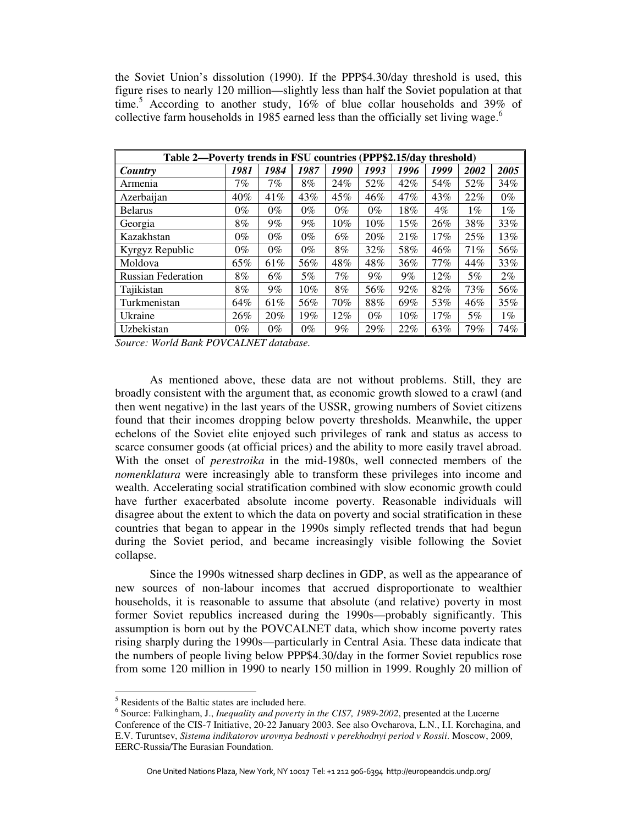the Soviet Union's dissolution (1990). If the PPP\$4.30/day threshold is used, this figure rises to nearly 120 million—slightly less than half the Soviet population at that time.<sup>5</sup> According to another study, 16% of blue collar households and 39% of collective farm households in 1985 earned less than the officially set living wage.<sup>6</sup>

| Table 2—Poverty trends in FSU countries (PPP\$2.15/day threshold) |       |       |       |       |        |      |        |       |       |
|-------------------------------------------------------------------|-------|-------|-------|-------|--------|------|--------|-------|-------|
| Country                                                           | 1981  | 1984  | 1987  | 1990  | 1993   | 1996 | 1999   | 2002  | 2005  |
| Armenia                                                           | 7%    | 7%    | 8%    | 24%   | 52%    | 42%  | 54%    | 52%   | 34%   |
| Azerbaijan                                                        | 40%   | 41%   | 43%   | 45%   | 46%    | 47%  | 43%    | 22%   | $0\%$ |
| <b>Belarus</b>                                                    | $0\%$ | $0\%$ | $0\%$ | $0\%$ | $0\%$  | 18%  | $4\%$  | $1\%$ | $1\%$ |
| Georgia                                                           | 8%    | $9\%$ | $9\%$ | 10%   | $10\%$ | 15%  | 26%    | 38%   | 33%   |
| Kazakhstan                                                        | $0\%$ | $0\%$ | $0\%$ | 6%    | 20%    | 21%  | 17%    | 25%   | 13%   |
| Kyrgyz Republic                                                   | $0\%$ | $0\%$ | $0\%$ | 8%    | 32%    | 58%  | 46%    | 71%   | 56%   |
| Moldova                                                           | 65%   | 61%   | 56%   | 48%   | 48%    | 36%  | $77\%$ | 44%   | 33%   |
| <b>Russian Federation</b>                                         | 8%    | 6%    | 5%    | 7%    | $9\%$  | 9%   | 12%    | 5%    | $2\%$ |
| Tajikistan                                                        | 8%    | $9\%$ | 10%   | 8%    | 56%    | 92%  | 82%    | 73%   | 56%   |
| Turkmenistan                                                      | 64%   | 61%   | 56%   | 70%   | 88%    | 69%  | 53%    | 46%   | 35%   |
| Ukraine                                                           | 26%   | 20%   | 19%   | 12%   | $0\%$  | 10%  | 17%    | 5%    | $1\%$ |
| Uzbekistan                                                        | $0\%$ | $0\%$ | $0\%$ | 9%    | 29%    | 22%  | 63%    | 79%   | 74%   |

*Source: World Bank POVCALNET database.* 

As mentioned above, these data are not without problems. Still, they are broadly consistent with the argument that, as economic growth slowed to a crawl (and then went negative) in the last years of the USSR, growing numbers of Soviet citizens found that their incomes dropping below poverty thresholds. Meanwhile, the upper echelons of the Soviet elite enjoyed such privileges of rank and status as access to scarce consumer goods (at official prices) and the ability to more easily travel abroad. With the onset of *perestroika* in the mid-1980s, well connected members of the *nomenklatura* were increasingly able to transform these privileges into income and wealth. Accelerating social stratification combined with slow economic growth could have further exacerbated absolute income poverty. Reasonable individuals will disagree about the extent to which the data on poverty and social stratification in these countries that began to appear in the 1990s simply reflected trends that had begun during the Soviet period, and became increasingly visible following the Soviet collapse.

Since the 1990s witnessed sharp declines in GDP, as well as the appearance of new sources of non-labour incomes that accrued disproportionate to wealthier households, it is reasonable to assume that absolute (and relative) poverty in most former Soviet republics increased during the 1990s—probably significantly. This assumption is born out by the POVCALNET data, which show income poverty rates rising sharply during the 1990s—particularly in Central Asia. These data indicate that the numbers of people living below PPP\$4.30/day in the former Soviet republics rose from some 120 million in 1990 to nearly 150 million in 1999. Roughly 20 million of

**EXECUTE:** Residents of the Baltic states are included here.

<sup>6</sup> Source: Falkingham, J., *Inequality and poverty in the CIS7, 1989-2002*, presented at the Lucerne Conference of the CIS-7 Initiative, 20-22 January 2003. See also Ovcharova, L.N., I.I. Korchagina, and E.V. Turuntsev, *Sistema indikatorov urovnya bednosti v perekhodnyi period v Rossii*. Moscow, 2009, EERC-Russia/The Eurasian Foundation.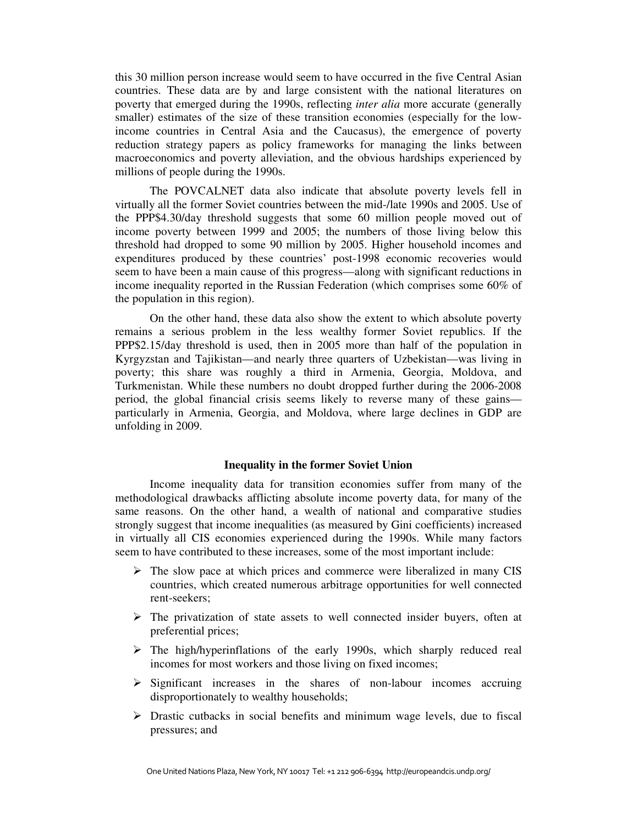this 30 million person increase would seem to have occurred in the five Central Asian countries. These data are by and large consistent with the national literatures on poverty that emerged during the 1990s, reflecting *inter alia* more accurate (generally smaller) estimates of the size of these transition economies (especially for the lowincome countries in Central Asia and the Caucasus), the emergence of poverty reduction strategy papers as policy frameworks for managing the links between macroeconomics and poverty alleviation, and the obvious hardships experienced by millions of people during the 1990s.

The POVCALNET data also indicate that absolute poverty levels fell in virtually all the former Soviet countries between the mid-/late 1990s and 2005. Use of the PPP\$4.30/day threshold suggests that some 60 million people moved out of income poverty between 1999 and 2005; the numbers of those living below this threshold had dropped to some 90 million by 2005. Higher household incomes and expenditures produced by these countries' post-1998 economic recoveries would seem to have been a main cause of this progress—along with significant reductions in income inequality reported in the Russian Federation (which comprises some 60% of the population in this region).

On the other hand, these data also show the extent to which absolute poverty remains a serious problem in the less wealthy former Soviet republics. If the PPP\$2.15/day threshold is used, then in 2005 more than half of the population in Kyrgyzstan and Tajikistan—and nearly three quarters of Uzbekistan—was living in poverty; this share was roughly a third in Armenia, Georgia, Moldova, and Turkmenistan. While these numbers no doubt dropped further during the 2006-2008 period, the global financial crisis seems likely to reverse many of these gains particularly in Armenia, Georgia, and Moldova, where large declines in GDP are unfolding in 2009.

### **Inequality in the former Soviet Union**

Income inequality data for transition economies suffer from many of the methodological drawbacks afflicting absolute income poverty data, for many of the same reasons. On the other hand, a wealth of national and comparative studies strongly suggest that income inequalities (as measured by Gini coefficients) increased in virtually all CIS economies experienced during the 1990s. While many factors seem to have contributed to these increases, some of the most important include:

- $\triangleright$  The slow pace at which prices and commerce were liberalized in many CIS countries, which created numerous arbitrage opportunities for well connected rent-seekers;
- $\triangleright$  The privatization of state assets to well connected insider buyers, often at preferential prices;
- $\triangleright$  The high/hyperinflations of the early 1990s, which sharply reduced real incomes for most workers and those living on fixed incomes;
- $\triangleright$  Significant increases in the shares of non-labour incomes accruing disproportionately to wealthy households;
- $\triangleright$  Drastic cutbacks in social benefits and minimum wage levels, due to fiscal pressures; and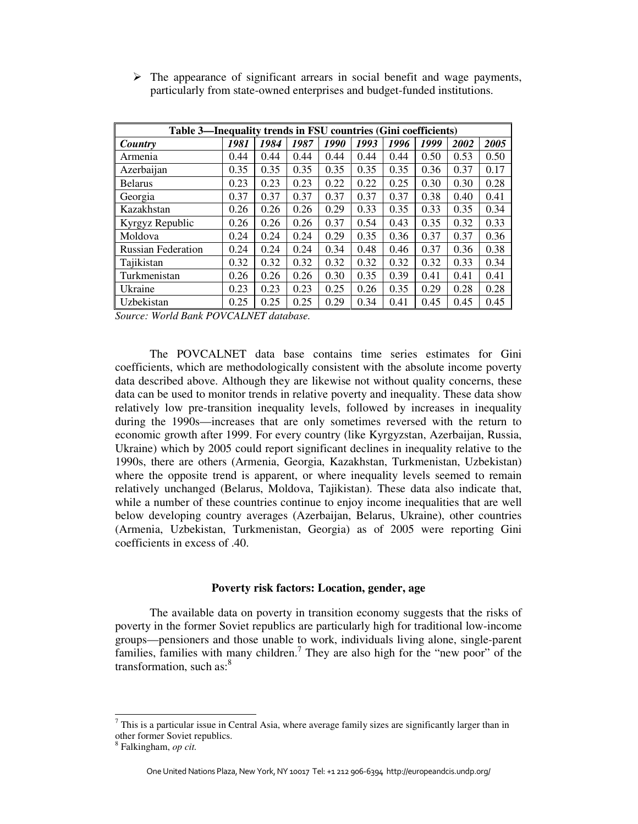| Table 3—Inequality trends in FSU countries (Gini coefficients) |      |      |      |      |      |      |      |      |      |  |
|----------------------------------------------------------------|------|------|------|------|------|------|------|------|------|--|
| Country                                                        | 1981 | 1984 | 1987 | 1990 | 1993 | 1996 | 1999 | 2002 | 2005 |  |
| Armenia                                                        | 0.44 | 0.44 | 0.44 | 0.44 | 0.44 | 0.44 | 0.50 | 0.53 | 0.50 |  |
| Azerbaijan                                                     | 0.35 | 0.35 | 0.35 | 0.35 | 0.35 | 0.35 | 0.36 | 0.37 | 0.17 |  |
| <b>Belarus</b>                                                 | 0.23 | 0.23 | 0.23 | 0.22 | 0.22 | 0.25 | 0.30 | 0.30 | 0.28 |  |
| Georgia                                                        | 0.37 | 0.37 | 0.37 | 0.37 | 0.37 | 0.37 | 0.38 | 0.40 | 0.41 |  |
| Kazakhstan                                                     | 0.26 | 0.26 | 0.26 | 0.29 | 0.33 | 0.35 | 0.33 | 0.35 | 0.34 |  |
| Kyrgyz Republic                                                | 0.26 | 0.26 | 0.26 | 0.37 | 0.54 | 0.43 | 0.35 | 0.32 | 0.33 |  |
| Moldova                                                        | 0.24 | 0.24 | 0.24 | 0.29 | 0.35 | 0.36 | 0.37 | 0.37 | 0.36 |  |
| <b>Russian Federation</b>                                      | 0.24 | 0.24 | 0.24 | 0.34 | 0.48 | 0.46 | 0.37 | 0.36 | 0.38 |  |
| Tajikistan                                                     | 0.32 | 0.32 | 0.32 | 0.32 | 0.32 | 0.32 | 0.32 | 0.33 | 0.34 |  |
| Turkmenistan                                                   | 0.26 | 0.26 | 0.26 | 0.30 | 0.35 | 0.39 | 0.41 | 0.41 | 0.41 |  |
| Ukraine                                                        | 0.23 | 0.23 | 0.23 | 0.25 | 0.26 | 0.35 | 0.29 | 0.28 | 0.28 |  |
| Uzbekistan                                                     | 0.25 | 0.25 | 0.25 | 0.29 | 0.34 | 0.41 | 0.45 | 0.45 | 0.45 |  |

 $\triangleright$  The appearance of significant arrears in social benefit and wage payments, particularly from state-owned enterprises and budget-funded institutions.

*Source: World Bank POVCALNET database.* 

The POVCALNET data base contains time series estimates for Gini coefficients, which are methodologically consistent with the absolute income poverty data described above. Although they are likewise not without quality concerns, these data can be used to monitor trends in relative poverty and inequality. These data show relatively low pre-transition inequality levels, followed by increases in inequality during the 1990s—increases that are only sometimes reversed with the return to economic growth after 1999. For every country (like Kyrgyzstan, Azerbaijan, Russia, Ukraine) which by 2005 could report significant declines in inequality relative to the 1990s, there are others (Armenia, Georgia, Kazakhstan, Turkmenistan, Uzbekistan) where the opposite trend is apparent, or where inequality levels seemed to remain relatively unchanged (Belarus, Moldova, Tajikistan). These data also indicate that, while a number of these countries continue to enjoy income inequalities that are well below developing country averages (Azerbaijan, Belarus, Ukraine), other countries (Armenia, Uzbekistan, Turkmenistan, Georgia) as of 2005 were reporting Gini coefficients in excess of .40.

#### **Poverty risk factors: Location, gender, age**

The available data on poverty in transition economy suggests that the risks of poverty in the former Soviet republics are particularly high for traditional low-income groups—pensioners and those unable to work, individuals living alone, single-parent families, families with many children.<sup>7</sup> They are also high for the "new poor" of the transformation, such as: $8<sup>8</sup>$ 

 $<sup>7</sup>$  This is a particular issue in Central Asia, where average family sizes are significantly larger than in</sup> other former Soviet republics.

<sup>8</sup> Falkingham, *op cit.*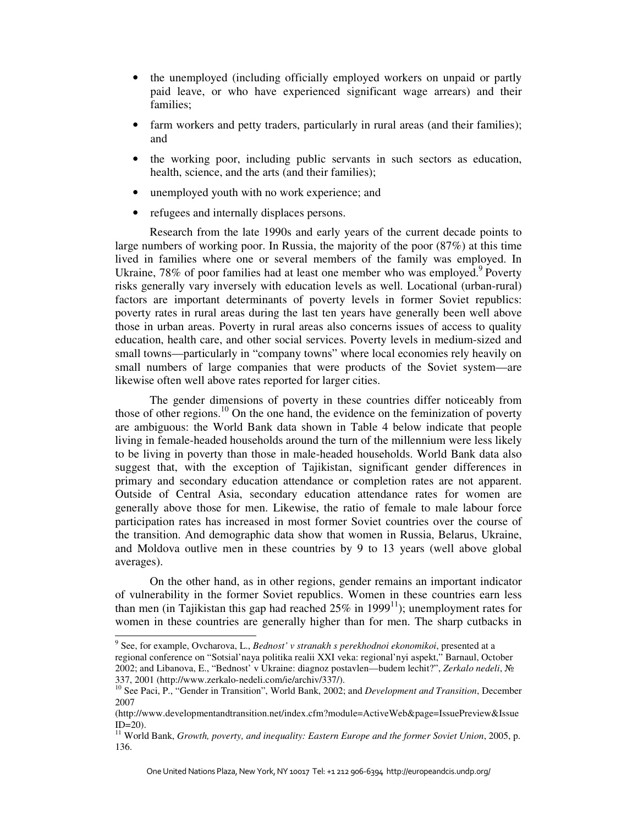- the unemployed (including officially employed workers on unpaid or partly paid leave, or who have experienced significant wage arrears) and their families;
- farm workers and petty traders, particularly in rural areas (and their families); and
- the working poor, including public servants in such sectors as education, health, science, and the arts (and their families);
- unemployed youth with no work experience; and
- refugees and internally displaces persons.

Research from the late 1990s and early years of the current decade points to large numbers of working poor. In Russia, the majority of the poor (87%) at this time lived in families where one or several members of the family was employed. In Ukraine, 78% of poor families had at least one member who was employed.<sup>9</sup> Poverty risks generally vary inversely with education levels as well. Locational (urban-rural) factors are important determinants of poverty levels in former Soviet republics: poverty rates in rural areas during the last ten years have generally been well above those in urban areas. Poverty in rural areas also concerns issues of access to quality education, health care, and other social services. Poverty levels in medium-sized and small towns—particularly in "company towns" where local economies rely heavily on small numbers of large companies that were products of the Soviet system—are likewise often well above rates reported for larger cities.

The gender dimensions of poverty in these countries differ noticeably from those of other regions.<sup>10</sup> On the one hand, the evidence on the feminization of poverty are ambiguous: the World Bank data shown in Table 4 below indicate that people living in female-headed households around the turn of the millennium were less likely to be living in poverty than those in male-headed households. World Bank data also suggest that, with the exception of Tajikistan, significant gender differences in primary and secondary education attendance or completion rates are not apparent. Outside of Central Asia, secondary education attendance rates for women are generally above those for men. Likewise, the ratio of female to male labour force participation rates has increased in most former Soviet countries over the course of the transition. And demographic data show that women in Russia, Belarus, Ukraine, and Moldova outlive men in these countries by 9 to 13 years (well above global averages).

On the other hand, as in other regions, gender remains an important indicator of vulnerability in the former Soviet republics. Women in these countries earn less than men (in Tajikistan this gap had reached  $25\%$  in 1999<sup>11</sup>); unemployment rates for women in these countries are generally higher than for men. The sharp cutbacks in

 9 See, for example, Ovcharova, L., *Bednost' v stranakh s perekhodnoi ekonomikoi*, presented at a regional conference on "Sotsial'naya politika realii XXI veka: regional'nyi aspekt," Barnaul, October 2002; and Libanova, E., "Bednost' v Ukraine: diagnoz postavlen—budem lechit?", *Zerkalo nedeli*, № 337, 2001 (http://www.zerkalo-nedeli.com/ie/archiv/337/).

<sup>10</sup> See Paci, P., "Gender in Transition", World Bank, 2002; and *Development and Transition*, December 2007

<sup>(</sup>http://www.developmentandtransition.net/index.cfm?module=ActiveWeb&page=IssuePreview&Issue  $ID=20$ ).

<sup>11</sup> World Bank, *Growth, poverty, and inequality: Eastern Europe and the former Soviet Union*, 2005, p. 136.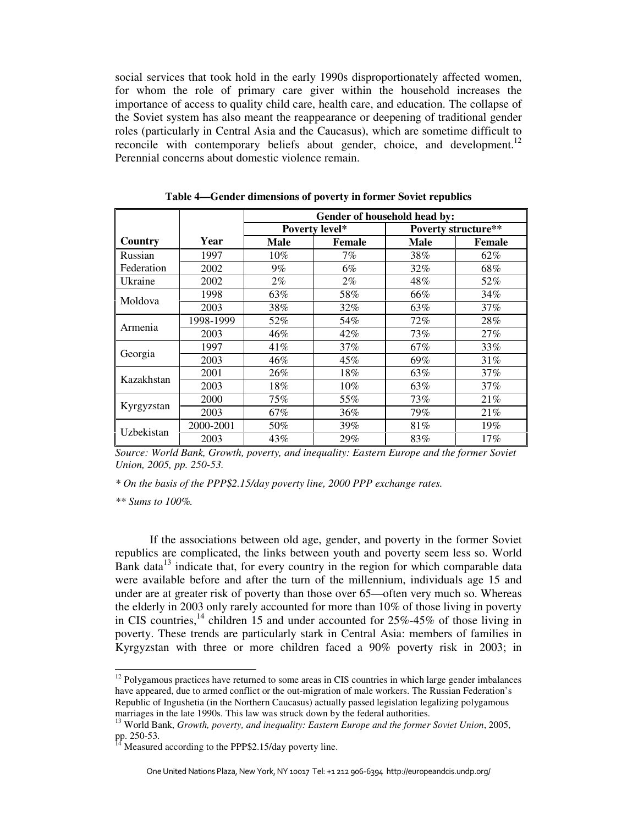social services that took hold in the early 1990s disproportionately affected women, for whom the role of primary care giver within the household increases the importance of access to quality child care, health care, and education. The collapse of the Soviet system has also meant the reappearance or deepening of traditional gender roles (particularly in Central Asia and the Caucasus), which are sometime difficult to reconcile with contemporary beliefs about gender, choice, and development.<sup>12</sup> Perennial concerns about domestic violence remain.

|            |           | Gender of household head by:            |     |             |                     |  |  |  |  |  |
|------------|-----------|-----------------------------------------|-----|-------------|---------------------|--|--|--|--|--|
|            |           | Poverty level*<br><b>Male</b><br>Female |     |             | Poverty structure** |  |  |  |  |  |
| Country    | Year      |                                         |     | <b>Male</b> | Female              |  |  |  |  |  |
| Russian    | 1997      | $10\%$                                  | 7%  | 38%         | 62%                 |  |  |  |  |  |
| Federation | 2002      | $9\%$                                   | 6%  | 32%         | 68%                 |  |  |  |  |  |
| Ukraine    | 2002      | $2\%$                                   | 2%  | 48%         | 52%                 |  |  |  |  |  |
|            | 1998      | 63%                                     | 58% | 66%         | 34%                 |  |  |  |  |  |
| Moldova    | 2003      | 38%                                     | 32% | 63%         | 37%                 |  |  |  |  |  |
| Armenia    | 1998-1999 | 52%                                     | 54% | 72%         | 28%                 |  |  |  |  |  |
|            | 2003      | 46%                                     | 42% | 73%         | 27%                 |  |  |  |  |  |
|            | 1997      | 41\%                                    | 37% | 67%         | 33%                 |  |  |  |  |  |
| Georgia    | 2003      | 46%                                     | 45% | 69%         | 31%                 |  |  |  |  |  |
|            | 2001      | 26%                                     | 18% | 63%         | 37%                 |  |  |  |  |  |
| Kazakhstan | 2003      | 18%                                     | 10% | 63%         | 37%                 |  |  |  |  |  |
| Kyrgyzstan | 2000      | 75%                                     | 55% | 73%         | 21%                 |  |  |  |  |  |
|            | 2003      | 67%                                     | 36% | 79%         | 21%                 |  |  |  |  |  |
|            | 2000-2001 | 50%                                     | 39% | 81%         | 19%                 |  |  |  |  |  |
| Uzbekistan | 2003      | 43%                                     | 29% | 83%         | 17%                 |  |  |  |  |  |

**Table 4—Gender dimensions of poverty in former Soviet republics** 

*Source: World Bank, Growth, poverty, and inequality: Eastern Europe and the former Soviet Union, 2005, pp. 250-53.* 

*\* On the basis of the PPP\$2.15/day poverty line, 2000 PPP exchange rates.* 

*\*\* Sums to 100%.* 

<u>.</u>

If the associations between old age, gender, and poverty in the former Soviet republics are complicated, the links between youth and poverty seem less so. World Bank data $13$  indicate that, for every country in the region for which comparable data were available before and after the turn of the millennium, individuals age 15 and under are at greater risk of poverty than those over 65—often very much so. Whereas the elderly in 2003 only rarely accounted for more than 10% of those living in poverty in CIS countries,<sup>14</sup> children 15 and under accounted for  $25\% - 45\%$  of those living in poverty. These trends are particularly stark in Central Asia: members of families in Kyrgyzstan with three or more children faced a 90% poverty risk in 2003; in

 $12$  Polygamous practices have returned to some areas in CIS countries in which large gender imbalances have appeared, due to armed conflict or the out-migration of male workers. The Russian Federation's Republic of Ingushetia (in the Northern Caucasus) actually passed legislation legalizing polygamous marriages in the late 1990s. This law was struck down by the federal authorities.

<sup>13</sup> World Bank, *Growth, poverty, and inequality: Eastern Europe and the former Soviet Union*, 2005, pp. 250-53.

Measured according to the PPP\$2.15/day poverty line.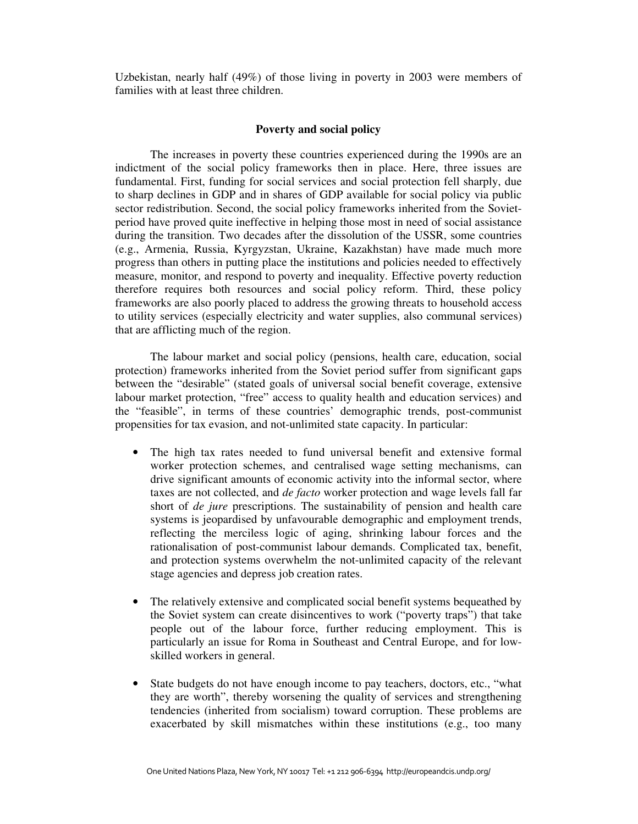Uzbekistan, nearly half (49%) of those living in poverty in 2003 were members of families with at least three children.

### **Poverty and social policy**

The increases in poverty these countries experienced during the 1990s are an indictment of the social policy frameworks then in place. Here, three issues are fundamental. First, funding for social services and social protection fell sharply, due to sharp declines in GDP and in shares of GDP available for social policy via public sector redistribution. Second, the social policy frameworks inherited from the Sovietperiod have proved quite ineffective in helping those most in need of social assistance during the transition. Two decades after the dissolution of the USSR, some countries (e.g., Armenia, Russia, Kyrgyzstan, Ukraine, Kazakhstan) have made much more progress than others in putting place the institutions and policies needed to effectively measure, monitor, and respond to poverty and inequality. Effective poverty reduction therefore requires both resources and social policy reform. Third, these policy frameworks are also poorly placed to address the growing threats to household access to utility services (especially electricity and water supplies, also communal services) that are afflicting much of the region.

The labour market and social policy (pensions, health care, education, social protection) frameworks inherited from the Soviet period suffer from significant gaps between the "desirable" (stated goals of universal social benefit coverage, extensive labour market protection, "free" access to quality health and education services) and the "feasible", in terms of these countries' demographic trends, post-communist propensities for tax evasion, and not-unlimited state capacity. In particular:

- The high tax rates needed to fund universal benefit and extensive formal worker protection schemes, and centralised wage setting mechanisms, can drive significant amounts of economic activity into the informal sector, where taxes are not collected, and *de facto* worker protection and wage levels fall far short of *de jure* prescriptions. The sustainability of pension and health care systems is jeopardised by unfavourable demographic and employment trends, reflecting the merciless logic of aging, shrinking labour forces and the rationalisation of post-communist labour demands. Complicated tax, benefit, and protection systems overwhelm the not-unlimited capacity of the relevant stage agencies and depress job creation rates.
- The relatively extensive and complicated social benefit systems bequeathed by the Soviet system can create disincentives to work ("poverty traps") that take people out of the labour force, further reducing employment. This is particularly an issue for Roma in Southeast and Central Europe, and for lowskilled workers in general.
- State budgets do not have enough income to pay teachers, doctors, etc., "what they are worth", thereby worsening the quality of services and strengthening tendencies (inherited from socialism) toward corruption. These problems are exacerbated by skill mismatches within these institutions (e.g., too many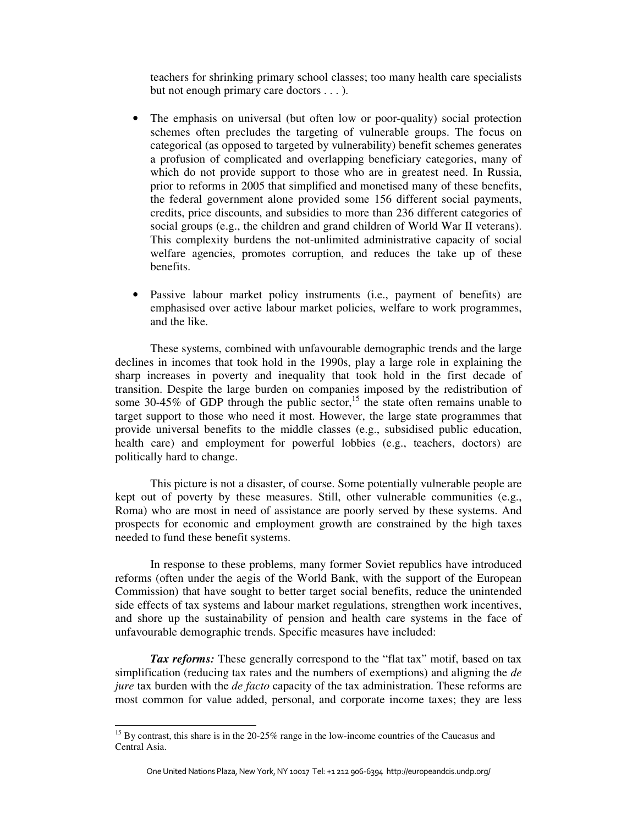teachers for shrinking primary school classes; too many health care specialists but not enough primary care doctors . . . ).

- The emphasis on universal (but often low or poor-quality) social protection schemes often precludes the targeting of vulnerable groups. The focus on categorical (as opposed to targeted by vulnerability) benefit schemes generates a profusion of complicated and overlapping beneficiary categories, many of which do not provide support to those who are in greatest need. In Russia, prior to reforms in 2005 that simplified and monetised many of these benefits, the federal government alone provided some 156 different social payments, credits, price discounts, and subsidies to more than 236 different categories of social groups (e.g., the children and grand children of World War II veterans). This complexity burdens the not-unlimited administrative capacity of social welfare agencies, promotes corruption, and reduces the take up of these benefits.
- Passive labour market policy instruments (i.e., payment of benefits) are emphasised over active labour market policies, welfare to work programmes, and the like.

These systems, combined with unfavourable demographic trends and the large declines in incomes that took hold in the 1990s, play a large role in explaining the sharp increases in poverty and inequality that took hold in the first decade of transition. Despite the large burden on companies imposed by the redistribution of some 30-45% of GDP through the public sector,<sup>15</sup> the state often remains unable to target support to those who need it most. However, the large state programmes that provide universal benefits to the middle classes (e.g., subsidised public education, health care) and employment for powerful lobbies (e.g., teachers, doctors) are politically hard to change.

This picture is not a disaster, of course. Some potentially vulnerable people are kept out of poverty by these measures. Still, other vulnerable communities (e.g., Roma) who are most in need of assistance are poorly served by these systems. And prospects for economic and employment growth are constrained by the high taxes needed to fund these benefit systems.

In response to these problems, many former Soviet republics have introduced reforms (often under the aegis of the World Bank, with the support of the European Commission) that have sought to better target social benefits, reduce the unintended side effects of tax systems and labour market regulations, strengthen work incentives, and shore up the sustainability of pension and health care systems in the face of unfavourable demographic trends. Specific measures have included:

*Tax reforms:* These generally correspond to the "flat tax" motif, based on tax simplification (reducing tax rates and the numbers of exemptions) and aligning the *de jure* tax burden with the *de facto* capacity of the tax administration. These reforms are most common for value added, personal, and corporate income taxes; they are less

<sup>&</sup>lt;sup>15</sup> By contrast, this share is in the 20-25% range in the low-income countries of the Caucasus and Central Asia.

One United Nations Plaza, New York, NY 10017 Tel: +1 212 906-6394 http://europeandcis.undp.org/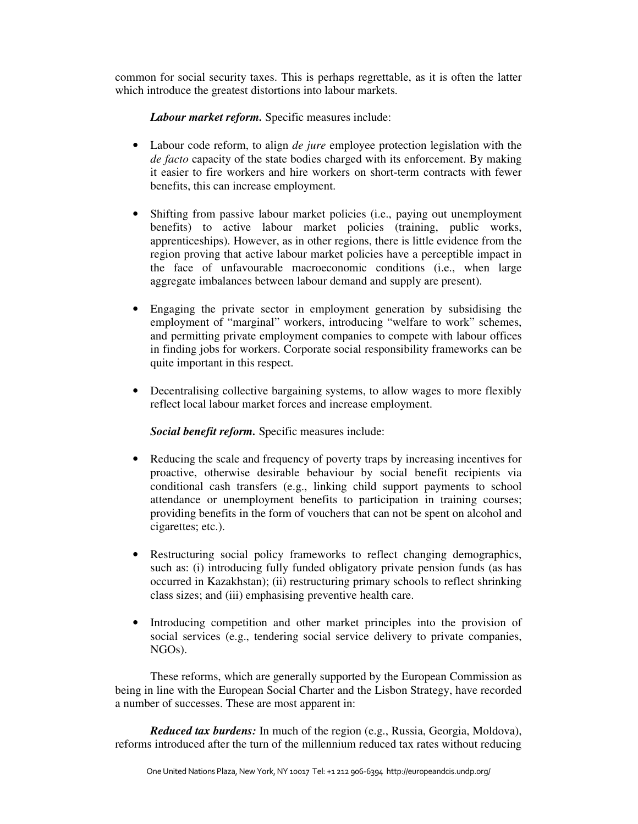common for social security taxes. This is perhaps regrettable, as it is often the latter which introduce the greatest distortions into labour markets.

*Labour market reform.* Specific measures include:

- Labour code reform, to align *de jure* employee protection legislation with the *de facto* capacity of the state bodies charged with its enforcement. By making it easier to fire workers and hire workers on short-term contracts with fewer benefits, this can increase employment.
- Shifting from passive labour market policies (i.e., paying out unemployment benefits) to active labour market policies (training, public works, apprenticeships). However, as in other regions, there is little evidence from the region proving that active labour market policies have a perceptible impact in the face of unfavourable macroeconomic conditions (i.e., when large aggregate imbalances between labour demand and supply are present).
- Engaging the private sector in employment generation by subsidising the employment of "marginal" workers, introducing "welfare to work" schemes, and permitting private employment companies to compete with labour offices in finding jobs for workers. Corporate social responsibility frameworks can be quite important in this respect.
- Decentralising collective bargaining systems, to allow wages to more flexibly reflect local labour market forces and increase employment.

*Social benefit reform.* Specific measures include:

- Reducing the scale and frequency of poverty traps by increasing incentives for proactive, otherwise desirable behaviour by social benefit recipients via conditional cash transfers (e.g., linking child support payments to school attendance or unemployment benefits to participation in training courses; providing benefits in the form of vouchers that can not be spent on alcohol and cigarettes; etc.).
- Restructuring social policy frameworks to reflect changing demographics, such as: (i) introducing fully funded obligatory private pension funds (as has occurred in Kazakhstan); (ii) restructuring primary schools to reflect shrinking class sizes; and (iii) emphasising preventive health care.
- Introducing competition and other market principles into the provision of social services (e.g., tendering social service delivery to private companies, NGOs).

These reforms, which are generally supported by the European Commission as being in line with the European Social Charter and the Lisbon Strategy, have recorded a number of successes. These are most apparent in:

*Reduced tax burdens:* In much of the region (e.g., Russia, Georgia, Moldova), reforms introduced after the turn of the millennium reduced tax rates without reducing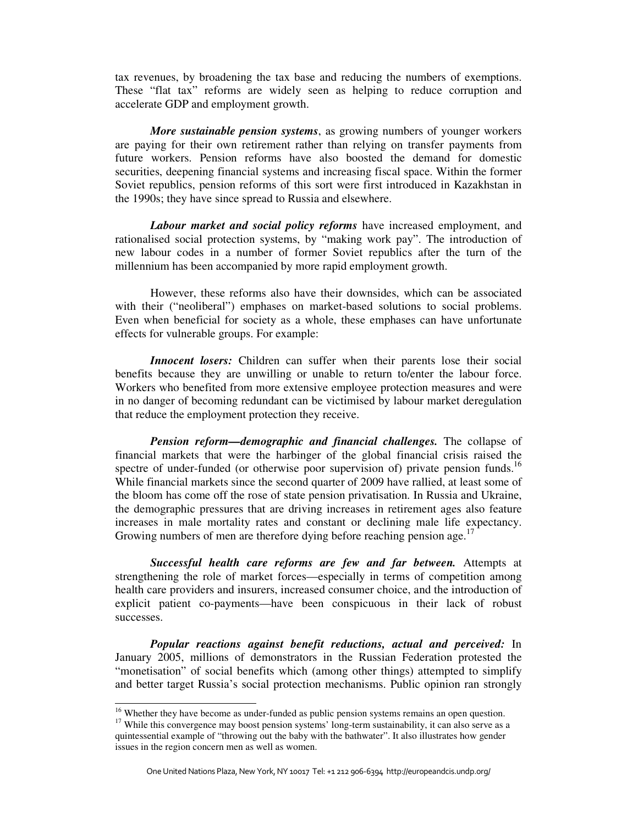tax revenues, by broadening the tax base and reducing the numbers of exemptions. These "flat tax" reforms are widely seen as helping to reduce corruption and accelerate GDP and employment growth.

*More sustainable pension systems*, as growing numbers of younger workers are paying for their own retirement rather than relying on transfer payments from future workers. Pension reforms have also boosted the demand for domestic securities, deepening financial systems and increasing fiscal space. Within the former Soviet republics, pension reforms of this sort were first introduced in Kazakhstan in the 1990s; they have since spread to Russia and elsewhere.

*Labour market and social policy reforms* have increased employment, and rationalised social protection systems, by "making work pay". The introduction of new labour codes in a number of former Soviet republics after the turn of the millennium has been accompanied by more rapid employment growth.

However, these reforms also have their downsides, which can be associated with their ("neoliberal") emphases on market-based solutions to social problems. Even when beneficial for society as a whole, these emphases can have unfortunate effects for vulnerable groups. For example:

*Innocent losers:* Children can suffer when their parents lose their social benefits because they are unwilling or unable to return to/enter the labour force. Workers who benefited from more extensive employee protection measures and were in no danger of becoming redundant can be victimised by labour market deregulation that reduce the employment protection they receive.

*Pension reform—demographic and financial challenges.* The collapse of financial markets that were the harbinger of the global financial crisis raised the spectre of under-funded (or otherwise poor supervision of) private pension funds.<sup>16</sup> While financial markets since the second quarter of 2009 have rallied, at least some of the bloom has come off the rose of state pension privatisation. In Russia and Ukraine, the demographic pressures that are driving increases in retirement ages also feature increases in male mortality rates and constant or declining male life expectancy. Growing numbers of men are therefore dying before reaching pension age.<sup>17</sup>

*Successful health care reforms are few and far between.* Attempts at strengthening the role of market forces—especially in terms of competition among health care providers and insurers, increased consumer choice, and the introduction of explicit patient co-payments—have been conspicuous in their lack of robust successes.

*Popular reactions against benefit reductions, actual and perceived:* In January 2005, millions of demonstrators in the Russian Federation protested the "monetisation" of social benefits which (among other things) attempted to simplify and better target Russia's social protection mechanisms. Public opinion ran strongly

<sup>&</sup>lt;sup>16</sup> Whether they have become as under-funded as public pension systems remains an open question.

<sup>&</sup>lt;sup>17</sup> While this convergence may boost pension systems' long-term sustainability, it can also serve as a quintessential example of "throwing out the baby with the bathwater". It also illustrates how gender issues in the region concern men as well as women.

One United Nations Plaza, New York, NY 10017 Tel: +1 212 906-6394 http://europeandcis.undp.org/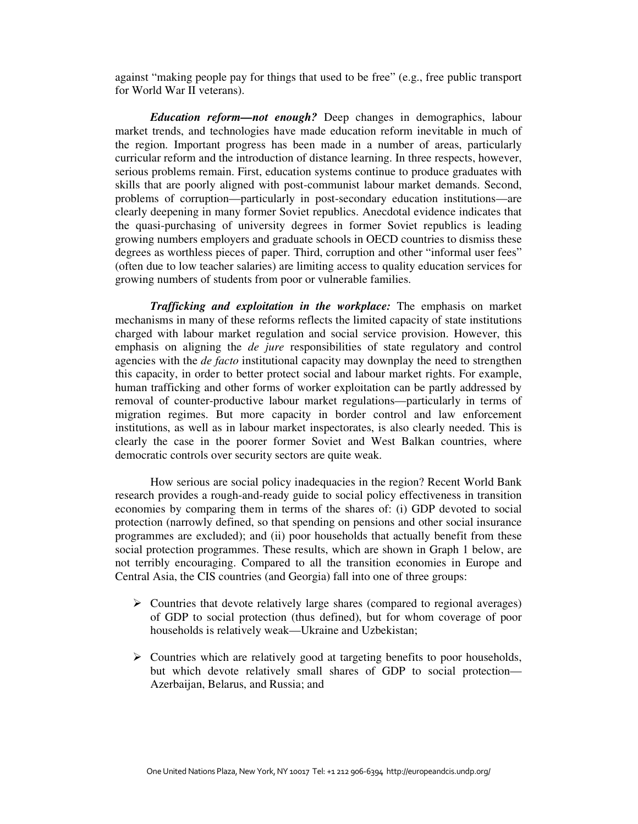against "making people pay for things that used to be free" (e.g., free public transport for World War II veterans).

*Education reform—not enough?* Deep changes in demographics, labour market trends, and technologies have made education reform inevitable in much of the region. Important progress has been made in a number of areas, particularly curricular reform and the introduction of distance learning. In three respects, however, serious problems remain. First, education systems continue to produce graduates with skills that are poorly aligned with post-communist labour market demands. Second, problems of corruption—particularly in post-secondary education institutions—are clearly deepening in many former Soviet republics. Anecdotal evidence indicates that the quasi-purchasing of university degrees in former Soviet republics is leading growing numbers employers and graduate schools in OECD countries to dismiss these degrees as worthless pieces of paper. Third, corruption and other "informal user fees" (often due to low teacher salaries) are limiting access to quality education services for growing numbers of students from poor or vulnerable families.

*Trafficking and exploitation in the workplace:* The emphasis on market mechanisms in many of these reforms reflects the limited capacity of state institutions charged with labour market regulation and social service provision. However, this emphasis on aligning the *de jure* responsibilities of state regulatory and control agencies with the *de facto* institutional capacity may downplay the need to strengthen this capacity, in order to better protect social and labour market rights. For example, human trafficking and other forms of worker exploitation can be partly addressed by removal of counter-productive labour market regulations—particularly in terms of migration regimes. But more capacity in border control and law enforcement institutions, as well as in labour market inspectorates, is also clearly needed. This is clearly the case in the poorer former Soviet and West Balkan countries, where democratic controls over security sectors are quite weak.

 How serious are social policy inadequacies in the region? Recent World Bank research provides a rough-and-ready guide to social policy effectiveness in transition economies by comparing them in terms of the shares of: (i) GDP devoted to social protection (narrowly defined, so that spending on pensions and other social insurance programmes are excluded); and (ii) poor households that actually benefit from these social protection programmes. These results, which are shown in Graph 1 below, are not terribly encouraging. Compared to all the transition economies in Europe and Central Asia, the CIS countries (and Georgia) fall into one of three groups:

- $\triangleright$  Countries that devote relatively large shares (compared to regional averages) of GDP to social protection (thus defined), but for whom coverage of poor households is relatively weak—Ukraine and Uzbekistan;
- $\triangleright$  Countries which are relatively good at targeting benefits to poor households, but which devote relatively small shares of GDP to social protection— Azerbaijan, Belarus, and Russia; and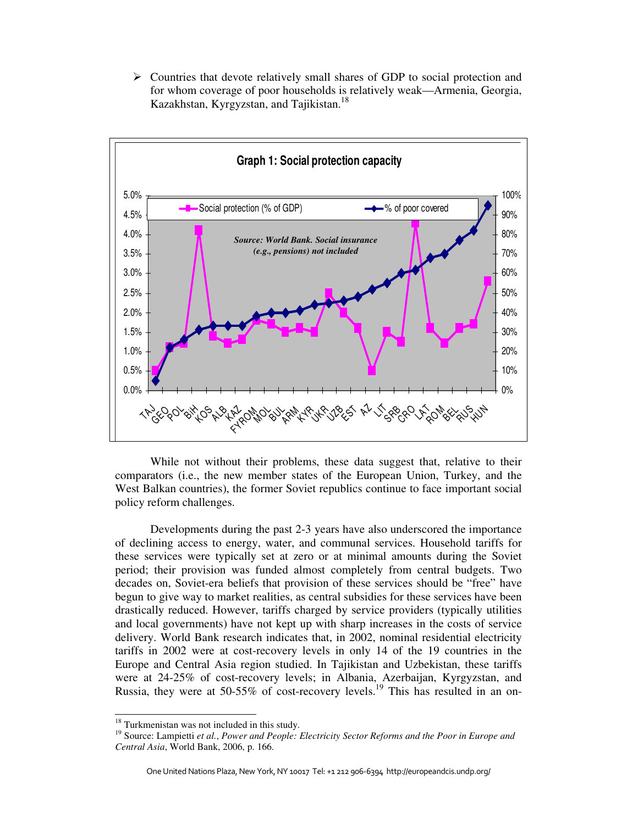$\triangleright$  Countries that devote relatively small shares of GDP to social protection and for whom coverage of poor households is relatively weak—Armenia, Georgia, Kazakhstan, Kyrgyzstan, and Tajikistan.<sup>18</sup>



 While not without their problems, these data suggest that, relative to their comparators (i.e., the new member states of the European Union, Turkey, and the West Balkan countries), the former Soviet republics continue to face important social policy reform challenges.

Developments during the past 2-3 years have also underscored the importance of declining access to energy, water, and communal services. Household tariffs for these services were typically set at zero or at minimal amounts during the Soviet period; their provision was funded almost completely from central budgets. Two decades on, Soviet-era beliefs that provision of these services should be "free" have begun to give way to market realities, as central subsidies for these services have been drastically reduced. However, tariffs charged by service providers (typically utilities and local governments) have not kept up with sharp increases in the costs of service delivery. World Bank research indicates that, in 2002, nominal residential electricity tariffs in 2002 were at cost-recovery levels in only 14 of the 19 countries in the Europe and Central Asia region studied. In Tajikistan and Uzbekistan, these tariffs were at 24-25% of cost-recovery levels; in Albania, Azerbaijan, Kyrgyzstan, and Russia, they were at 50-55% of cost-recovery levels.<sup>19</sup> This has resulted in an on-

<sup>&</sup>lt;sup>18</sup> Turkmenistan was not included in this study.

<sup>19</sup> Source: Lampietti *et al.*, *Power and People: Electricity Sector Reforms and the Poor in Europe and Central Asia*, World Bank, 2006, p. 166.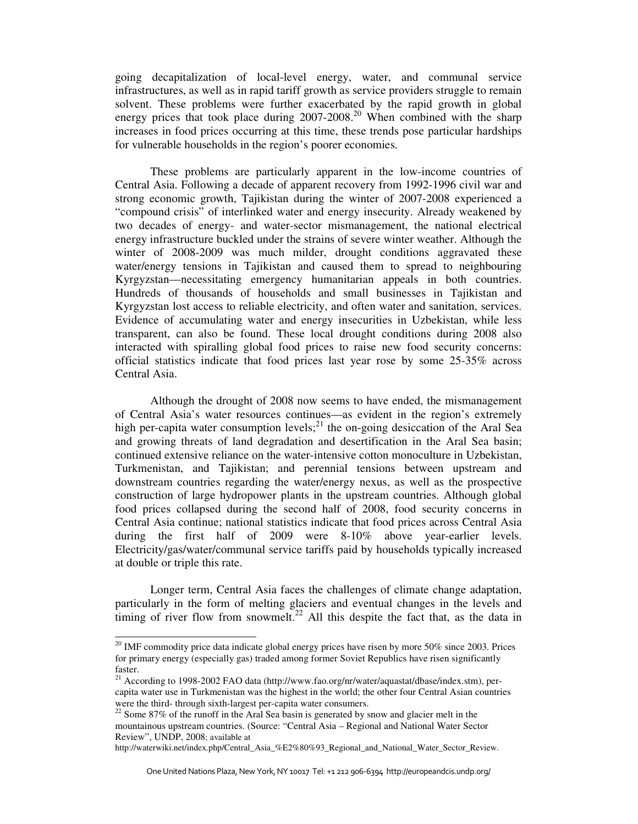going decapitalization of local-level energy, water, and communal service infrastructures, as well as in rapid tariff growth as service providers struggle to remain solvent. These problems were further exacerbated by the rapid growth in global energy prices that took place during  $2007-2008$ <sup>20</sup> When combined with the sharp increases in food prices occurring at this time, these trends pose particular hardships for vulnerable households in the region's poorer economies.

These problems are particularly apparent in the low-income countries of Central Asia. Following a decade of apparent recovery from 1992-1996 civil war and strong economic growth, Tajikistan during the winter of 2007-2008 experienced a "compound crisis" of interlinked water and energy insecurity. Already weakened by two decades of energy- and water-sector mismanagement, the national electrical energy infrastructure buckled under the strains of severe winter weather. Although the winter of 2008-2009 was much milder, drought conditions aggravated these water/energy tensions in Tajikistan and caused them to spread to neighbouring Kyrgyzstan—necessitating emergency humanitarian appeals in both countries. Hundreds of thousands of households and small businesses in Tajikistan and Kyrgyzstan lost access to reliable electricity, and often water and sanitation, services. Evidence of accumulating water and energy insecurities in Uzbekistan, while less transparent, can also be found. These local drought conditions during 2008 also interacted with spiralling global food prices to raise new food security concerns: official statistics indicate that food prices last year rose by some 25-35% across Central Asia.

Although the drought of 2008 now seems to have ended, the mismanagement of Central Asia's water resources continues—as evident in the region's extremely high per-capita water consumption levels; $^{21}$  the on-going desiccation of the Aral Sea and growing threats of land degradation and desertification in the Aral Sea basin; continued extensive reliance on the water-intensive cotton monoculture in Uzbekistan, Turkmenistan, and Tajikistan; and perennial tensions between upstream and downstream countries regarding the water/energy nexus, as well as the prospective construction of large hydropower plants in the upstream countries. Although global food prices collapsed during the second half of 2008, food security concerns in Central Asia continue; national statistics indicate that food prices across Central Asia during the first half of 2009 were 8-10% above year-earlier levels. Electricity/gas/water/communal service tariffs paid by households typically increased at double or triple this rate.

Longer term, Central Asia faces the challenges of climate change adaptation, particularly in the form of melting glaciers and eventual changes in the levels and timing of river flow from snowmelt.<sup>22</sup> All this despite the fact that, as the data in

 $20$  IMF commodity price data indicate global energy prices have risen by more 50% since 2003. Prices for primary energy (especially gas) traded among former Soviet Republics have risen significantly faster.

<sup>&</sup>lt;sup>21</sup> According to 1998-2002 FAO data (http://www.fao.org/nr/water/aquastat/dbase/index.stm), percapita water use in Turkmenistan was the highest in the world; the other four Central Asian countries were the third- through sixth-largest per-capita water consumers.

<sup>&</sup>lt;sup>22</sup> Some 87% of the runoff in the Aral Sea basin is generated by snow and glacier melt in the mountainous upstream countries. (Source: "Central Asia – Regional and National Water Sector Review", UNDP, 2008; available at

http://waterwiki.net/index.php/Central\_Asia\_%E2%80%93\_Regional\_and\_National\_Water\_Sector\_Review.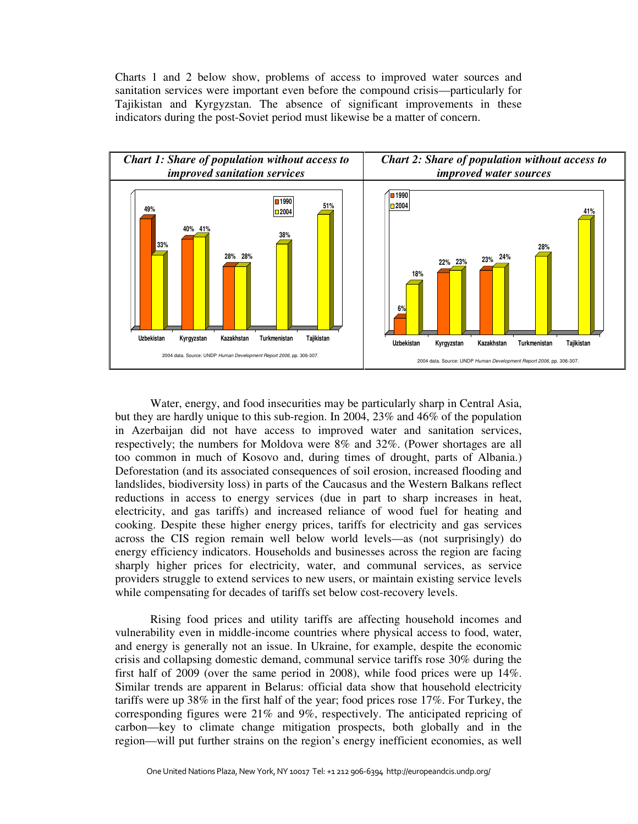Charts 1 and 2 below show, problems of access to improved water sources and sanitation services were important even before the compound crisis—particularly for Tajikistan and Kyrgyzstan. The absence of significant improvements in these indicators during the post-Soviet period must likewise be a matter of concern.



Water, energy, and food insecurities may be particularly sharp in Central Asia, but they are hardly unique to this sub-region. In 2004, 23% and 46% of the population in Azerbaijan did not have access to improved water and sanitation services, respectively; the numbers for Moldova were 8% and 32%. (Power shortages are all too common in much of Kosovo and, during times of drought, parts of Albania.) Deforestation (and its associated consequences of soil erosion, increased flooding and landslides, biodiversity loss) in parts of the Caucasus and the Western Balkans reflect reductions in access to energy services (due in part to sharp increases in heat, electricity, and gas tariffs) and increased reliance of wood fuel for heating and cooking. Despite these higher energy prices, tariffs for electricity and gas services across the CIS region remain well below world levels—as (not surprisingly) do energy efficiency indicators. Households and businesses across the region are facing sharply higher prices for electricity, water, and communal services, as service providers struggle to extend services to new users, or maintain existing service levels while compensating for decades of tariffs set below cost-recovery levels.

Rising food prices and utility tariffs are affecting household incomes and vulnerability even in middle-income countries where physical access to food, water, and energy is generally not an issue. In Ukraine, for example, despite the economic crisis and collapsing domestic demand, communal service tariffs rose 30% during the first half of 2009 (over the same period in 2008), while food prices were up 14%. Similar trends are apparent in Belarus: official data show that household electricity tariffs were up 38% in the first half of the year; food prices rose 17%. For Turkey, the corresponding figures were 21% and 9%, respectively. The anticipated repricing of carbon—key to climate change mitigation prospects, both globally and in the region—will put further strains on the region's energy inefficient economies, as well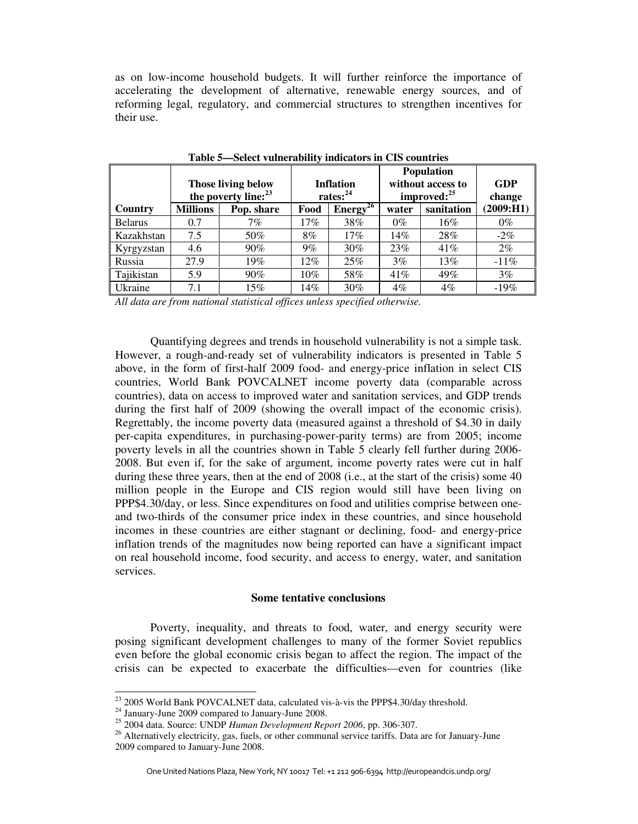as on low-income household budgets. It will further reinforce the importance of accelerating the development of alternative, renewable energy sources, and of reforming legal, regulatory, and commercial structures to strengthen incentives for their use.

|                | <b>Those living below</b><br>the poverty line: <sup>23</sup> |            |       | <b>Inflation</b><br>rates: $^{24}$ | <b>Population</b><br>without access to<br>improved: <sup>25</sup> | GDP<br>change |            |
|----------------|--------------------------------------------------------------|------------|-------|------------------------------------|-------------------------------------------------------------------|---------------|------------|
| Country        | Millions                                                     | Pop. share | Food  | Energy <sup>26</sup>               | water                                                             | sanitation    | (2009: H1) |
| <b>Belarus</b> | 0.7                                                          | $7\%$      | 17%   | 38%                                | $0\%$                                                             | 16%           | $0\%$      |
| Kazakhstan     | 7.5                                                          | 50%        | 8%    | $17\%$                             | $14\%$                                                            | 28%           | $-2\%$     |
| Kyrgyzstan     | 4.6                                                          | 90%        | $9\%$ | $30\%$                             | 23%                                                               | 41%           | $2\%$      |
| Russia         | 27.9                                                         | 19%        | 12%   | 25%                                | 3%                                                                | 13%           | $-11\%$    |
| Tajikistan     | 5.9                                                          | 90%        | 10%   | 58%                                | 41%                                                               | 49%           | 3%         |
| Ukraine        | 7.1                                                          | 15%        | 14%   | 30%                                | $4\%$                                                             | $4\%$         | $-19%$     |

**Table 5—Select vulnerability indicators in CIS countries** 

*All data are from national statistical offices unless specified otherwise.* 

Quantifying degrees and trends in household vulnerability is not a simple task. However, a rough-and-ready set of vulnerability indicators is presented in Table 5 above, in the form of first-half 2009 food- and energy-price inflation in select CIS countries, World Bank POVCALNET income poverty data (comparable across countries), data on access to improved water and sanitation services, and GDP trends during the first half of 2009 (showing the overall impact of the economic crisis). Regrettably, the income poverty data (measured against a threshold of \$4.30 in daily per-capita expenditures, in purchasing-power-parity terms) are from 2005; income poverty levels in all the countries shown in Table 5 clearly fell further during 2006- 2008. But even if, for the sake of argument, income poverty rates were cut in half during these three years, then at the end of 2008 (i.e., at the start of the crisis) some 40 million people in the Europe and CIS region would still have been living on PPP\$4.30/day, or less. Since expenditures on food and utilities comprise between oneand two-thirds of the consumer price index in these countries, and since household incomes in these countries are either stagnant or declining, food- and energy-price inflation trends of the magnitudes now being reported can have a significant impact on real household income, food security, and access to energy, water, and sanitation services.

# **Some tentative conclusions**

Poverty, inequality, and threats to food, water, and energy security were posing significant development challenges to many of the former Soviet republics even before the global economic crisis began to affect the region. The impact of the crisis can be expected to exacerbate the difficulties—even for countries (like

1

 $^{23}$  2005 World Bank POVCALNET data, calculated vis-à-vis the PPP\$4.30/day threshold.

<sup>24</sup> January-June 2009 compared to January-June 2008.

<sup>25</sup> 2004 data. Source: UNDP *Human Development Report 2006*, pp. 306-307.

<sup>&</sup>lt;sup>26</sup> Alternatively electricity, gas, fuels, or other communal service tariffs. Data are for January-June 2009 compared to January-June 2008.